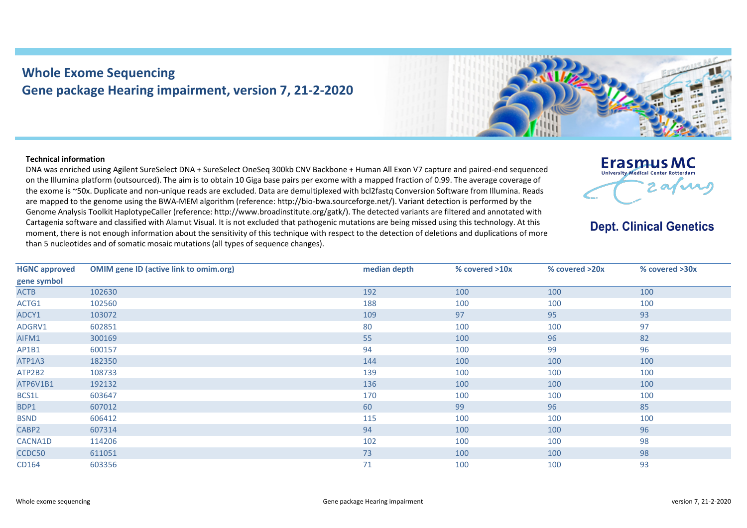## **Whole Exome Sequencing Gene package Hearing impairment, version 7, 21-2-2020**



## **Technical information**

DNA was enriched using Agilent SureSelect DNA + SureSelect OneSeq 300kb CNV Backbone + Human All Exon V7 capture and paired-end sequenced on the Illumina platform (outsourced). The aim is to obtain 10 Giga base pairs per exome with a mapped fraction of 0.99. The average coverage of the exome is ~50x. Duplicate and non-unique reads are excluded. Data are demultiplexed with bcl2fastq Conversion Software from Illumina. Reads are mapped to the genome using the BWA-MEM algorithm (reference: http://bio-bwa.sourceforge.net/). Variant detection is performed by the Genome Analysis Toolkit HaplotypeCaller (reference: http://www.broadinstitute.org/gatk/). The detected variants are filtered and annotated with Cartagenia software and classified with Alamut Visual. It is not excluded that pathogenic mutations are being missed using this technology. At this moment, there is not enough information about the sensitivity of this technique with respect to the detection of deletions and duplications of more than 5 nucleotides and of somatic mosaic mutations (all types of sequence changes).



**Dept. Clinical Genetics** 

| <b>HGNC approved</b> | <b>OMIM gene ID (active link to omim.org)</b> | median depth | % covered >10x | % covered >20x | % covered >30x |
|----------------------|-----------------------------------------------|--------------|----------------|----------------|----------------|
| gene symbol          |                                               |              |                |                |                |
| <b>ACTB</b>          | 102630                                        | 192          | 100            | 100            | 100            |
| ACTG1                | 102560                                        | 188          | 100            | 100            | 100            |
| ADCY1                | 103072                                        | 109          | 97             | 95             | 93             |
| ADGRV1               | 602851                                        | 80           | 100            | 100            | 97             |
| AIFM1                | 300169                                        | 55           | 100            | 96             | 82             |
| AP1B1                | 600157                                        | 94           | 100            | 99             | 96             |
| ATP1A3               | 182350                                        | 144          | 100            | 100            | 100            |
| ATP2B2               | 108733                                        | 139          | 100            | 100            | 100            |
| ATP6V1B1             | 192132                                        | 136          | 100            | 100            | 100            |
| BCS1L                | 603647                                        | 170          | 100            | 100            | 100            |
| BDP1                 | 607012                                        | 60           | 99             | 96             | 85             |
| <b>BSND</b>          | 606412                                        | 115          | 100            | 100            | 100            |
| CABP2                | 607314                                        | 94           | 100            | 100            | 96             |
| CACNA1D              | 114206                                        | 102          | 100            | 100            | 98             |
| CCDC50               | 611051                                        | 73           | 100            | 100            | 98             |
| CD164                | 603356                                        | 71           | 100            | 100            | 93             |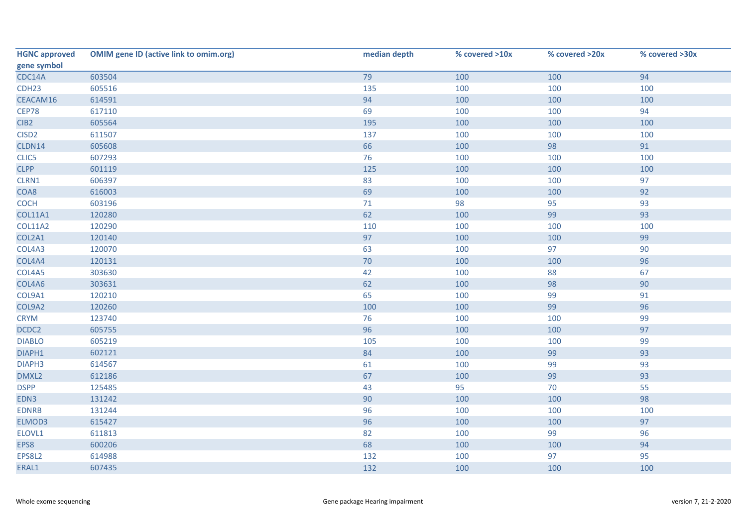| <b>HGNC approved</b> | <b>OMIM gene ID (active link to omim.org)</b> | median depth | % covered >10x | % covered >20x | % covered >30x |
|----------------------|-----------------------------------------------|--------------|----------------|----------------|----------------|
| gene symbol          |                                               |              |                |                |                |
| CDC14A               | 603504                                        | 79           | 100            | 100            | 94             |
| CDH <sub>23</sub>    | 605516                                        | 135          | 100            | 100            | 100            |
| CEACAM16             | 614591                                        | 94           | 100            | 100            | 100            |
| <b>CEP78</b>         | 617110                                        | 69           | 100            | 100            | 94             |
| CIB <sub>2</sub>     | 605564                                        | 195          | 100            | 100            | 100            |
| CISD <sub>2</sub>    | 611507                                        | 137          | 100            | 100            | 100            |
| CLDN14               | 605608                                        | 66           | 100            | 98             | 91             |
| CLIC5                | 607293                                        | 76           | 100            | 100            | 100            |
| <b>CLPP</b>          | 601119                                        | 125          | 100            | 100            | 100            |
| CLRN1                | 606397                                        | 83           | 100            | 100            | 97             |
| COA8                 | 616003                                        | 69           | 100            | 100            | 92             |
| <b>COCH</b>          | 603196                                        | 71           | 98             | 95             | 93             |
| <b>COL11A1</b>       | 120280                                        | 62           | 100            | 99             | 93             |
| <b>COL11A2</b>       | 120290                                        | 110          | 100            | 100            | 100            |
| COL2A1               | 120140                                        | 97           | 100            | 100            | 99             |
| COL4A3               | 120070                                        | 63           | 100            | 97             | 90             |
| COL4A4               | 120131                                        | $70\,$       | 100            | 100            | 96             |
| COL4A5               | 303630                                        | 42           | 100            | 88             | 67             |
| COL4A6               | 303631                                        | 62           | 100            | 98             | 90             |
| COL9A1               | 120210                                        | 65           | 100            | 99             | 91             |
| COL9A2               | 120260                                        | 100          | 100            | 99             | 96             |
| <b>CRYM</b>          | 123740                                        | 76           | 100            | 100            | 99             |
| DCDC2                | 605755                                        | 96           | 100            | 100            | 97             |
| <b>DIABLO</b>        | 605219                                        | 105          | 100            | 100            | 99             |
| DIAPH1               | 602121                                        | 84           | 100            | 99             | 93             |
| DIAPH3               | 614567                                        | 61           | 100            | 99             | 93             |
| DMXL2                | 612186                                        | 67           | 100            | 99             | 93             |
| <b>DSPP</b>          | 125485                                        | 43           | 95             | 70             | 55             |
| EDN3                 | 131242                                        | 90           | 100            | 100            | 98             |
| <b>EDNRB</b>         | 131244                                        | 96           | 100            | 100            | 100            |
| ELMOD3               | 615427                                        | 96           | 100            | 100            | 97             |
| ELOVL1               | 611813                                        | 82           | 100            | 99             | 96             |
| EPS8                 | 600206                                        | 68           | 100            | 100            | 94             |
| EPS8L2               | 614988                                        | 132          | 100            | 97             | 95             |
| ERAL1                | 607435                                        | 132          | 100            | 100            | 100            |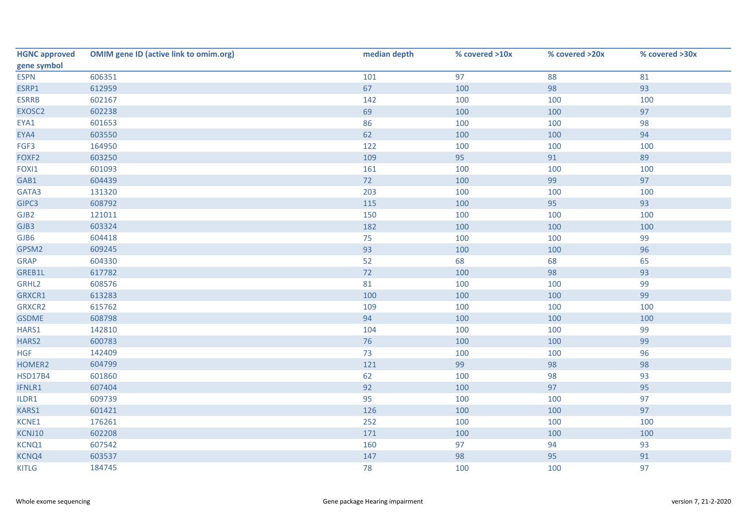| <b>HGNC approved</b> | <b>OMIM gene ID (active link to omim.org)</b> | median depth | % covered >10x | % covered >20x | % covered >30x |
|----------------------|-----------------------------------------------|--------------|----------------|----------------|----------------|
| gene symbol          |                                               |              |                |                |                |
| <b>ESPN</b>          | 606351                                        | 101          | 97             | 88             | 81             |
| ESRP1                | 612959                                        | 67           | 100            | 98             | 93             |
| <b>ESRRB</b>         | 602167                                        | 142          | 100            | 100            | 100            |
| EXOSC2               | 602238                                        | 69           | 100            | 100            | 97             |
| EYA1                 | 601653                                        | 86           | 100            | 100            | 98             |
| EYA4                 | 603550                                        | 62           | 100            | 100            | 94             |
| FGF3                 | 164950                                        | 122          | 100            | 100            | 100            |
| FOXF2                | 603250                                        | 109          | 95             | 91             | 89             |
| FOXI1                | 601093                                        | 161          | 100            | 100            | 100            |
| GAB1                 | 604439                                        | 72           | 100            | 99             | 97             |
| GATA3                | 131320                                        | 203          | 100            | 100            | 100            |
| GIPC3                | 608792                                        | 115          | 100            | 95             | 93             |
| GJB2                 | 121011                                        | 150          | 100            | 100            | 100            |
| GJB3                 | 603324                                        | 182          | 100            | 100            | 100            |
| GJB6                 | 604418                                        | 75           | 100            | 100            | 99             |
| GPSM2                | 609245                                        | 93           | 100            | 100            | 96             |
| <b>GRAP</b>          | 604330                                        | 52           | 68             | 68             | 65             |
| GREB1L               | 617782                                        | 72           | 100            | 98             | 93             |
| GRHL2                | 608576                                        | 81           | 100            | 100            | 99             |
| GRXCR1               | 613283                                        | 100          | 100            | 100            | 99             |
| GRXCR2               | 615762                                        | 109          | 100            | 100            | 100            |
| <b>GSDME</b>         | 608798                                        | 94           | 100            | 100            | 100            |
| HARS1                | 142810                                        | 104          | 100            | 100            | 99             |
| HARS2                | 600783                                        | 76           | 100            | 100            | 99             |
| <b>HGF</b>           | 142409                                        | 73           | 100            | 100            | 96             |
| HOMER2               | 604799                                        | 121          | 99             | 98             | 98             |
| <b>HSD17B4</b>       | 601860                                        | 62           | 100            | 98             | 93             |
| IFNLR1               | 607404                                        | 92           | 100            | 97             | 95             |
| ILDR1                | 609739                                        | 95           | 100            | 100            | 97             |
| KARS1                | 601421                                        | 126          | 100            | 100            | 97             |
| KCNE1                | 176261                                        | 252          | 100            | 100            | 100            |
| KCNJ10               | 602208                                        | 171          | 100            | 100            | 100            |
| KCNQ1                | 607542                                        | 160          | 97             | 94             | 93             |
| KCNQ4                | 603537                                        | 147          | 98             | 95             | 91             |
| <b>KITLG</b>         | 184745                                        | 78           | 100            | 100            | 97             |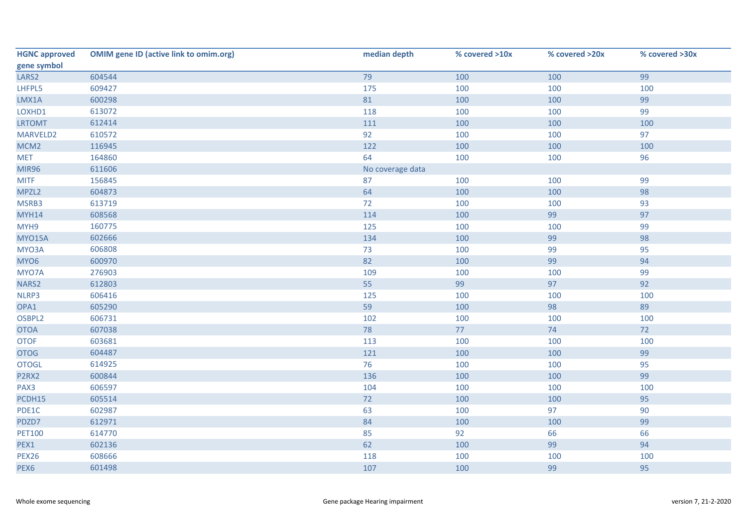| <b>HGNC approved</b> | <b>OMIM gene ID (active link to omim.org)</b> | median depth     | % covered >10x | % covered >20x | % covered >30x |
|----------------------|-----------------------------------------------|------------------|----------------|----------------|----------------|
| gene symbol          |                                               |                  |                |                |                |
| LARS <sub>2</sub>    | 604544                                        | 79               | 100            | 100            | 99             |
| LHFPL5               | 609427                                        | 175              | 100            | 100            | 100            |
| LMX1A                | 600298                                        | 81               | 100            | 100            | 99             |
| LOXHD1               | 613072                                        | 118              | 100            | 100            | 99             |
| <b>LRTOMT</b>        | 612414                                        | 111              | 100            | 100            | 100            |
| MARVELD2             | 610572                                        | 92               | 100            | 100            | 97             |
| MCM <sub>2</sub>     | 116945                                        | 122              | 100            | 100            | 100            |
| <b>MET</b>           | 164860                                        | 64               | 100            | 100            | 96             |
| <b>MIR96</b>         | 611606                                        | No coverage data |                |                |                |
| <b>MITF</b>          | 156845                                        | 87               | 100            | 100            | 99             |
| MPZL2                | 604873                                        | 64               | 100            | 100            | 98             |
| MSRB3                | 613719                                        | 72               | 100            | 100            | 93             |
| <b>MYH14</b>         | 608568                                        | 114              | 100            | 99             | 97             |
| MYH9                 | 160775                                        | 125              | 100            | 100            | 99             |
| <b>MYO15A</b>        | 602666                                        | 134              | 100            | 99             | 98             |
| MYO3A                | 606808                                        | 73               | 100            | 99             | 95             |
| MYO6                 | 600970                                        | 82               | 100            | 99             | 94             |
| MYO7A                | 276903                                        | 109              | 100            | 100            | 99             |
| NARS2                | 612803                                        | 55               | 99             | 97             | 92             |
| NLRP3                | 606416                                        | 125              | 100            | 100            | 100            |
| OPA1                 | 605290                                        | 59               | 100            | 98             | 89             |
| OSBPL2               | 606731                                        | 102              | 100            | 100            | 100            |
| <b>OTOA</b>          | 607038                                        | 78               | 77             | 74             | 72             |
| <b>OTOF</b>          | 603681                                        | 113              | 100            | 100            | 100            |
| <b>OTOG</b>          | 604487                                        | 121              | 100            | 100            | 99             |
| <b>OTOGL</b>         | 614925                                        | 76               | 100            | 100            | 95             |
| P2RX2                | 600844                                        | 136              | 100            | 100            | 99             |
| PAX3                 | 606597                                        | 104              | 100            | 100            | 100            |
| PCDH15               | 605514                                        | 72               | 100            | 100            | 95             |
| PDE1C                | 602987                                        | 63               | 100            | 97             | 90             |
| PDZD7                | 612971                                        | 84               | 100            | 100            | 99             |
| <b>PET100</b>        | 614770                                        | 85               | 92             | 66             | 66             |
| PEX1                 | 602136                                        | 62               | 100            | 99             | 94             |
| <b>PEX26</b>         | 608666                                        | 118              | 100            | 100            | 100            |
| PEX6                 | 601498                                        | 107              | 100            | 99             | 95             |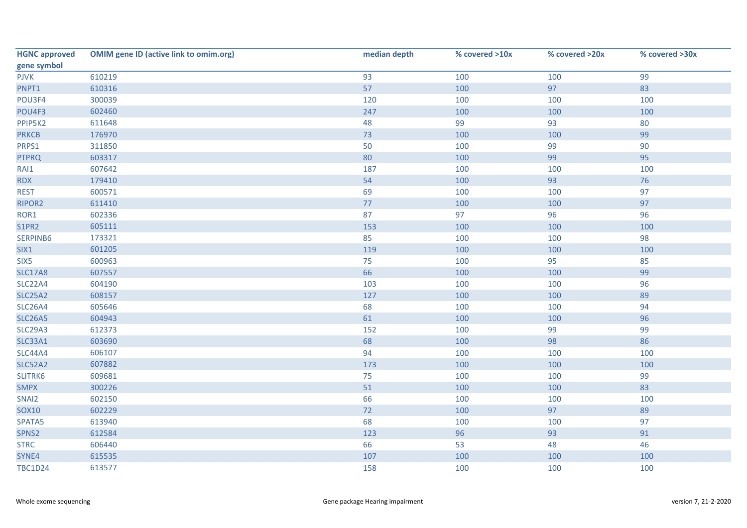| <b>HGNC approved</b> | <b>OMIM gene ID (active link to omim.org)</b> | median depth | % covered >10x | % covered >20x | % covered >30x |
|----------------------|-----------------------------------------------|--------------|----------------|----------------|----------------|
| gene symbol          |                                               |              |                |                |                |
| <b>PJVK</b>          | 610219                                        | 93           | 100            | 100            | 99             |
| PNPT1                | 610316                                        | 57           | 100            | 97             | 83             |
| POU3F4               | 300039                                        | 120          | 100            | 100            | 100            |
| POU4F3               | 602460                                        | 247          | 100            | 100            | 100            |
| PPIP5K2              | 611648                                        | 48           | 99             | 93             | 80             |
| <b>PRKCB</b>         | 176970                                        | 73           | 100            | 100            | 99             |
| PRPS1                | 311850                                        | 50           | 100            | 99             | 90             |
| <b>PTPRQ</b>         | 603317                                        | 80           | 100            | 99             | 95             |
| RAI1                 | 607642                                        | 187          | 100            | 100            | 100            |
| <b>RDX</b>           | 179410                                        | 54           | 100            | 93             | 76             |
| <b>REST</b>          | 600571                                        | 69           | 100            | 100            | 97             |
| RIPOR2               | 611410                                        | 77           | 100            | 100            | 97             |
| ROR1                 | 602336                                        | 87           | 97             | 96             | 96             |
| S1PR2                | 605111                                        | 153          | 100            | 100            | 100            |
| SERPINB6             | 173321                                        | 85           | 100            | 100            | 98             |
| SIX1                 | 601205                                        | 119          | 100            | 100            | 100            |
| SIX5                 | 600963                                        | 75           | 100            | 95             | 85             |
| <b>SLC17A8</b>       | 607557                                        | 66           | 100            | 100            | 99             |
| SLC22A4              | 604190                                        | 103          | 100            | 100            | 96             |
| <b>SLC25A2</b>       | 608157                                        | 127          | 100            | 100            | 89             |
| <b>SLC26A4</b>       | 605646                                        | 68           | 100            | 100            | 94             |
| <b>SLC26A5</b>       | 604943                                        | 61           | 100            | 100            | 96             |
| <b>SLC29A3</b>       | 612373                                        | 152          | 100            | 99             | 99             |
| SLC33A1              | 603690                                        | 68           | 100            | 98             | 86             |
| <b>SLC44A4</b>       | 606107                                        | 94           | 100            | 100            | 100            |
| <b>SLC52A2</b>       | 607882                                        | 173          | 100            | 100            | 100            |
| SLITRK6              | 609681                                        | 75           | 100            | 100            | 99             |
| <b>SMPX</b>          | 300226                                        | 51           | 100            | 100            | 83             |
| SNAI2                | 602150                                        | 66           | 100            | 100            | 100            |
| <b>SOX10</b>         | 602229                                        | 72           | 100            | 97             | 89             |
| SPATA5               | 613940                                        | 68           | 100            | 100            | 97             |
| SPNS2                | 612584                                        | 123          | 96             | 93             | 91             |
| <b>STRC</b>          | 606440                                        | 66           | 53             | 48             | 46             |
| SYNE4                | 615535                                        | 107          | 100            | 100            | 100            |
| <b>TBC1D24</b>       | 613577                                        | 158          | 100            | 100            | 100            |